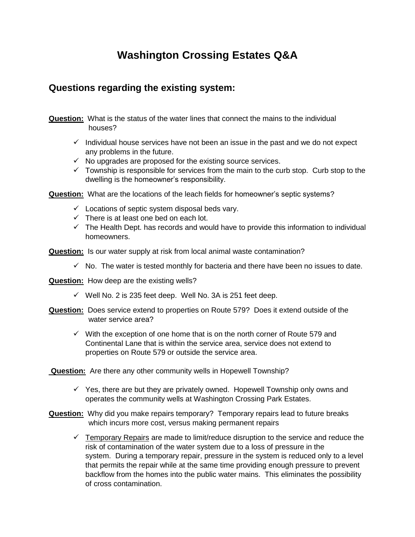# **Washington Crossing Estates Q&A**

### **Questions regarding the existing system:**

**Question:** What is the status of the water lines that connect the mains to the individual houses?

- $\checkmark$  Individual house services have not been an issue in the past and we do not expect any problems in the future.
- $\checkmark$  No upgrades are proposed for the existing source services.
- $\checkmark$  Township is responsible for services from the main to the curb stop. Curb stop to the dwelling is the homeowner's responsibility.

**Question:** What are the locations of the leach fields for homeowner's septic systems?

- $\checkmark$  Locations of septic system disposal beds vary.
- $\checkmark$  There is at least one bed on each lot.
- $\checkmark$  The Health Dept. has records and would have to provide this information to individual homeowners.

**Question:** Is our water supply at risk from local animal waste contamination?

- $\checkmark$  No. The water is tested monthly for bacteria and there have been no issues to date.
- **Question:** How deep are the existing wells?
	- $\checkmark$  Well No. 2 is 235 feet deep. Well No. 3A is 251 feet deep.
- **Question:** Does service extend to properties on Route 579? Does it extend outside of the water service area?
	- $\checkmark$  With the exception of one home that is on the north corner of Route 579 and Continental Lane that is within the service area, service does not extend to properties on Route 579 or outside the service area.

**Question:** Are there any other community wells in Hopewell Township?

- $\checkmark$  Yes, there are but they are privately owned. Hopewell Township only owns and operates the community wells at Washington Crossing Park Estates.
- **Question:** Why did you make repairs temporary? Temporary repairs lead to future breaks which incurs more cost, versus making permanent repairs
	- $\checkmark$  Temporary Repairs are made to limit/reduce disruption to the service and reduce the risk of contamination of the water system due to a loss of pressure in the system. During a temporary repair, pressure in the system is reduced only to a level that permits the repair while at the same time providing enough pressure to prevent backflow from the homes into the public water mains. This eliminates the possibility of cross contamination.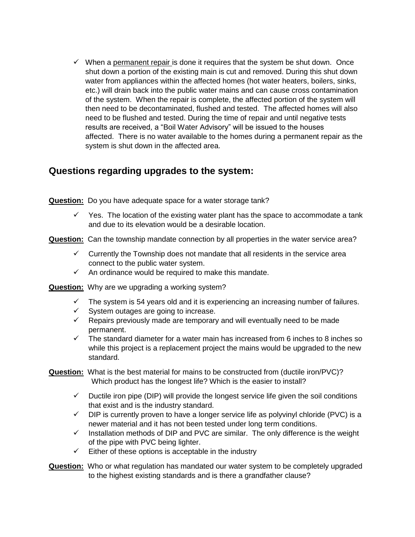$\checkmark$  When a permanent repair is done it requires that the system be shut down. Once shut down a portion of the existing main is cut and removed. During this shut down water from appliances within the affected homes (hot water heaters, boilers, sinks, etc.) will drain back into the public water mains and can cause cross contamination of the system. When the repair is complete, the affected portion of the system will then need to be decontaminated, flushed and tested. The affected homes will also need to be flushed and tested. During the time of repair and until negative tests results are received, a "Boil Water Advisory" will be issued to the houses affected. There is no water available to the homes during a permanent repair as the system is shut down in the affected area.

#### **Questions regarding upgrades to the system:**

**Question:** Do you have adequate space for a water storage tank?

- $\checkmark$  Yes. The location of the existing water plant has the space to accommodate a tank and due to its elevation would be a desirable location.
- **Question:** Can the township mandate connection by all properties in the water service area?
	- $\checkmark$  Currently the Township does not mandate that all residents in the service area connect to the public water system.
	- $\checkmark$  An ordinance would be required to make this mandate.
- **Question:** Why are we upgrading a working system?
	- $\checkmark$  The system is 54 years old and it is experiencing an increasing number of failures.
	- $\checkmark$  System outages are going to increase.
	- $\checkmark$  Repairs previously made are temporary and will eventually need to be made permanent.
	- $\checkmark$  The standard diameter for a water main has increased from 6 inches to 8 inches so while this project is a replacement project the mains would be upgraded to the new standard.
- **Question:** What is the best material for mains to be constructed from (ductile iron/PVC)? Which product has the longest life? Which is the easier to install?
	- $\checkmark$  Ductile iron pipe (DIP) will provide the longest service life given the soil conditions that exist and is the industry standard.
	- $\checkmark$  DIP is currently proven to have a longer service life as polyvinyl chloride (PVC) is a newer material and it has not been tested under long term conditions.
	- $\checkmark$  Installation methods of DIP and PVC are similar. The only difference is the weight of the pipe with PVC being lighter.
	- $\checkmark$  Either of these options is acceptable in the industry
- **Question:** Who or what regulation has mandated our water system to be completely upgraded to the highest existing standards and is there a grandfather clause?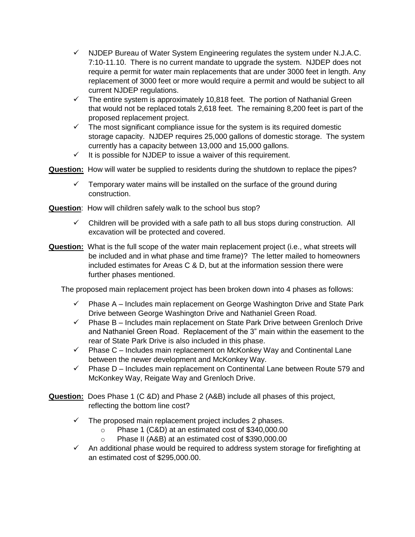- $\checkmark$  NJDEP Bureau of Water System Engineering regulates the system under N.J.A.C. 7:10-11.10. There is no current mandate to upgrade the system. NJDEP does not require a permit for water main replacements that are under 3000 feet in length. Any replacement of 3000 feet or more would require a permit and would be subject to all current NJDEP regulations.
- $\checkmark$  The entire system is approximately 10,818 feet. The portion of Nathanial Green that would not be replaced totals 2,618 feet. The remaining 8,200 feet is part of the proposed replacement project.
- $\checkmark$  The most significant compliance issue for the system is its required domestic storage capacity. NJDEP requires 25,000 gallons of domestic storage. The system currently has a capacity between 13,000 and 15,000 gallons.
- $\checkmark$  It is possible for NJDEP to issue a waiver of this requirement.

**Question:** How will water be supplied to residents during the shutdown to replace the pipes?

- $\checkmark$  Temporary water mains will be installed on the surface of the ground during construction.
- **Question**: How will children safely walk to the school bus stop?
	- $\checkmark$  Children will be provided with a safe path to all bus stops during construction. All excavation will be protected and covered.
- **Question:** What is the full scope of the water main replacement project (i.e., what streets will be included and in what phase and time frame)? The letter mailed to homeowners included estimates for Areas C & D, but at the information session there were further phases mentioned.

The proposed main replacement project has been broken down into 4 phases as follows:

- $\checkmark$  Phase A Includes main replacement on George Washington Drive and State Park Drive between George Washington Drive and Nathaniel Green Road.
- $\checkmark$  Phase B Includes main replacement on State Park Drive between Grenloch Drive and Nathaniel Green Road. Replacement of the 3" main within the easement to the rear of State Park Drive is also included in this phase.
- $\checkmark$  Phase C Includes main replacement on McKonkey Way and Continental Lane between the newer development and McKonkey Way.
- $\checkmark$  Phase D Includes main replacement on Continental Lane between Route 579 and McKonkey Way, Reigate Way and Grenloch Drive.
- **Question:** Does Phase 1 (C &D) and Phase 2 (A&B) include all phases of this project, reflecting the bottom line cost?
	- $\checkmark$  The proposed main replacement project includes 2 phases.
		- o Phase 1 (C&D) at an estimated cost of \$340,000.00
		- o Phase II (A&B) at an estimated cost of \$390,000.00
	- $\checkmark$  An additional phase would be required to address system storage for firefighting at an estimated cost of \$295,000.00.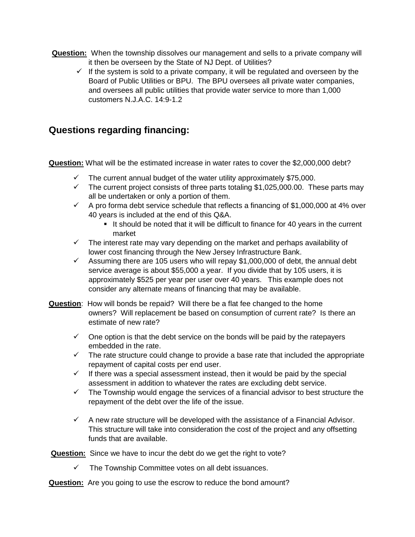- **Question:** When the township dissolves our management and sells to a private company will it then be overseen by the State of NJ Dept. of Utilities?
	- $\checkmark$  If the system is sold to a private company, it will be regulated and overseen by the Board of Public Utilities or BPU. The BPU oversees all private water companies, and oversees all public utilities that provide water service to more than 1,000 customers N.J.A.C. 14:9-1.2

### **Questions regarding financing:**

**Question:** What will be the estimated increase in water rates to cover the \$2,000,000 debt?

- The current annual budget of the water utility approximately \$75,000.
- $\checkmark$  The current project consists of three parts totaling \$1,025,000.00. These parts may all be undertaken or only a portion of them.
- $\checkmark$  A pro forma debt service schedule that reflects a financing of \$1,000,000 at 4% over 40 years is included at the end of this Q&A.
	- It should be noted that it will be difficult to finance for 40 years in the current market
- $\checkmark$  The interest rate may vary depending on the market and perhaps availability of lower cost financing through the New Jersey Infrastructure Bank.
- $\checkmark$  Assuming there are 105 users who will repay \$1,000,000 of debt, the annual debt service average is about \$55,000 a year. If you divide that by 105 users, it is approximately \$525 per year per user over 40 years. This example does not consider any alternate means of financing that may be available.
- **Question**: How will bonds be repaid? Will there be a flat fee changed to the home owners? Will replacement be based on consumption of current rate? Is there an estimate of new rate?
	- $\checkmark$  One option is that the debt service on the bonds will be paid by the ratepayers embedded in the rate.
	- $\checkmark$  The rate structure could change to provide a base rate that included the appropriate repayment of capital costs per end user.
	- $\checkmark$  If there was a special assessment instead, then it would be paid by the special assessment in addition to whatever the rates are excluding debt service.
	- $\checkmark$  The Township would engage the services of a financial advisor to best structure the repayment of the debt over the life of the issue.
	- $\checkmark$  A new rate structure will be developed with the assistance of a Financial Advisor. This structure will take into consideration the cost of the project and any offsetting funds that are available.

**Question:** Since we have to incur the debt do we get the right to vote?

 $\checkmark$  The Township Committee votes on all debt issuances.

**Question:** Are you going to use the escrow to reduce the bond amount?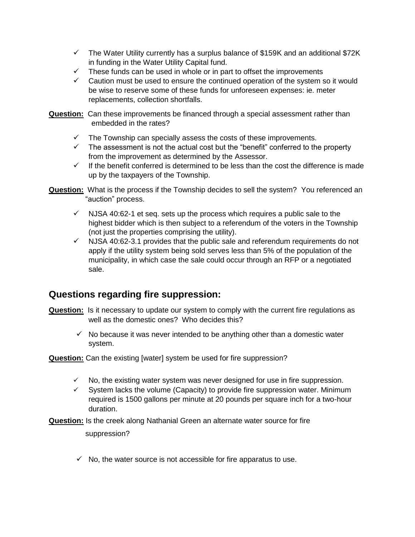- $\checkmark$  The Water Utility currently has a surplus balance of \$159K and an additional \$72K in funding in the Water Utility Capital fund.
- These funds can be used in whole or in part to offset the improvements
- $\checkmark$  Caution must be used to ensure the continued operation of the system so it would be wise to reserve some of these funds for unforeseen expenses: ie. meter replacements, collection shortfalls.
- **Question:** Can these improvements be financed through a special assessment rather than embedded in the rates?
	- $\checkmark$  The Township can specially assess the costs of these improvements.
	- $\checkmark$  The assessment is not the actual cost but the "benefit" conferred to the property from the improvement as determined by the Assessor.
	- $\checkmark$  If the benefit conferred is determined to be less than the cost the difference is made up by the taxpayers of the Township.
- **Question:** What is the process if the Township decides to sell the system? You referenced an "auction" process.
	- $\checkmark$  NJSA 40:62-1 et seq. sets up the process which requires a public sale to the highest bidder which is then subject to a referendum of the voters in the Township (not just the properties comprising the utility).
	- $\checkmark$  NJSA 40:62-3.1 provides that the public sale and referendum requirements do not apply if the utility system being sold serves less than 5% of the population of the municipality, in which case the sale could occur through an RFP or a negotiated sale.

## **Questions regarding fire suppression:**

- **Question:** Is it necessary to update our system to comply with the current fire regulations as well as the domestic ones? Who decides this?
	- $\checkmark$  No because it was never intended to be anything other than a domestic water system.

#### **Question:** Can the existing [water] system be used for fire suppression?

- $\checkmark$  No, the existing water system was never designed for use in fire suppression.
- $\checkmark$  System lacks the volume (Capacity) to provide fire suppression water. Minimum required is 1500 gallons per minute at 20 pounds per square inch for a two-hour duration.

**Question:** Is the creek along Nathanial Green an alternate water source for fire

suppression?

 $\checkmark$  No, the water source is not accessible for fire apparatus to use.